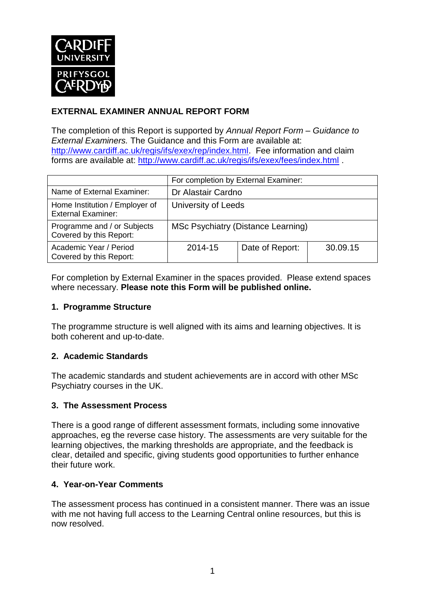

### **EXTERNAL EXAMINER ANNUAL REPORT FORM**

The completion of this Report is supported by *Annual Report Form – Guidance to External Examiners.* The Guidance and this Form are available at: [http://www.cardiff.ac.uk/regis/ifs/exex/rep/index.html.](http://www.cardiff.ac.uk/regis/ifs/exex/rep/index.html) Fee information and claim forms are available at:<http://www.cardiff.ac.uk/regis/ifs/exex/fees/index.html> .

|                                                             | For completion by External Examiner: |                 |          |  |
|-------------------------------------------------------------|--------------------------------------|-----------------|----------|--|
| Name of External Examiner:                                  | Dr Alastair Cardno                   |                 |          |  |
| Home Institution / Employer of<br><b>External Examiner:</b> | University of Leeds                  |                 |          |  |
| Programme and / or Subjects<br>Covered by this Report:      | MSc Psychiatry (Distance Learning)   |                 |          |  |
| Academic Year / Period<br>Covered by this Report:           | 2014-15                              | Date of Report: | 30.09.15 |  |

For completion by External Examiner in the spaces provided. Please extend spaces where necessary. **Please note this Form will be published online.**

#### **1. Programme Structure**

The programme structure is well aligned with its aims and learning objectives. It is both coherent and up-to-date.

#### **2. Academic Standards**

The academic standards and student achievements are in accord with other MSc Psychiatry courses in the UK.

#### **3. The Assessment Process**

There is a good range of different assessment formats, including some innovative approaches, eg the reverse case history. The assessments are very suitable for the learning objectives, the marking thresholds are appropriate, and the feedback is clear, detailed and specific, giving students good opportunities to further enhance their future work.

#### **4. Year-on-Year Comments**

The assessment process has continued in a consistent manner. There was an issue with me not having full access to the Learning Central online resources, but this is now resolved.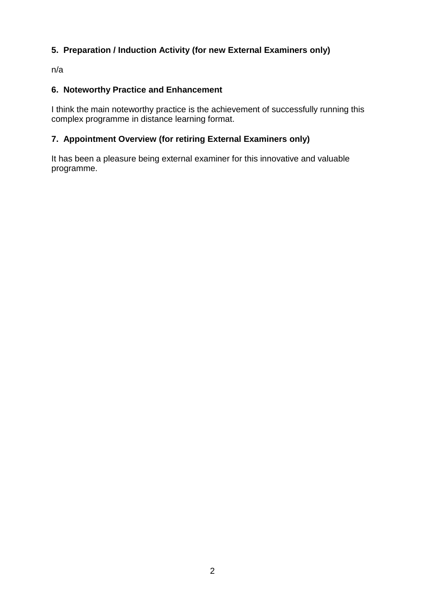### **5. Preparation / Induction Activity (for new External Examiners only)**

n/a

### **6. Noteworthy Practice and Enhancement**

I think the main noteworthy practice is the achievement of successfully running this complex programme in distance learning format.

## **7. Appointment Overview (for retiring External Examiners only)**

It has been a pleasure being external examiner for this innovative and valuable programme.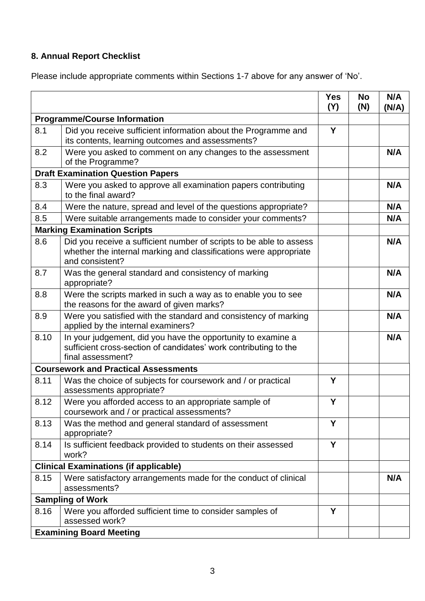# **8. Annual Report Checklist**

Please include appropriate comments within Sections 1-7 above for any answer of 'No'.

|                                             |                                                                                                                                                             | <b>Yes</b><br>(Y) | <b>No</b><br>(N) | N/A<br>(N/A) |
|---------------------------------------------|-------------------------------------------------------------------------------------------------------------------------------------------------------------|-------------------|------------------|--------------|
| <b>Programme/Course Information</b>         |                                                                                                                                                             |                   |                  |              |
| 8.1                                         | Did you receive sufficient information about the Programme and<br>its contents, learning outcomes and assessments?                                          | Y                 |                  |              |
| 8.2                                         | Were you asked to comment on any changes to the assessment<br>of the Programme?                                                                             |                   |                  | N/A          |
| <b>Draft Examination Question Papers</b>    |                                                                                                                                                             |                   |                  |              |
| 8.3                                         | Were you asked to approve all examination papers contributing<br>to the final award?                                                                        |                   |                  | N/A          |
| 8.4                                         | Were the nature, spread and level of the questions appropriate?                                                                                             |                   |                  | N/A          |
| 8.5                                         | Were suitable arrangements made to consider your comments?                                                                                                  |                   |                  | N/A          |
| <b>Marking Examination Scripts</b>          |                                                                                                                                                             |                   |                  |              |
| 8.6                                         | Did you receive a sufficient number of scripts to be able to assess<br>whether the internal marking and classifications were appropriate<br>and consistent? |                   |                  | N/A          |
| 8.7                                         | Was the general standard and consistency of marking<br>appropriate?                                                                                         |                   |                  | N/A          |
| 8.8                                         | Were the scripts marked in such a way as to enable you to see<br>the reasons for the award of given marks?                                                  |                   |                  | N/A          |
| 8.9                                         | Were you satisfied with the standard and consistency of marking<br>applied by the internal examiners?                                                       |                   |                  | N/A          |
| 8.10                                        | In your judgement, did you have the opportunity to examine a<br>sufficient cross-section of candidates' work contributing to the<br>final assessment?       |                   |                  | N/A          |
| <b>Coursework and Practical Assessments</b> |                                                                                                                                                             |                   |                  |              |
| 8.11                                        | Was the choice of subjects for coursework and / or practical<br>assessments appropriate?                                                                    | Y                 |                  |              |
| 8.12                                        | Were you afforded access to an appropriate sample of<br>coursework and / or practical assessments?                                                          | Y                 |                  |              |
| 8.13                                        | Was the method and general standard of assessment<br>appropriate?                                                                                           | Y                 |                  |              |
| 8.14                                        | Is sufficient feedback provided to students on their assessed<br>work?                                                                                      | Y                 |                  |              |
|                                             | <b>Clinical Examinations (if applicable)</b>                                                                                                                |                   |                  |              |
| 8.15                                        | Were satisfactory arrangements made for the conduct of clinical<br>assessments?                                                                             |                   |                  | N/A          |
| <b>Sampling of Work</b>                     |                                                                                                                                                             |                   |                  |              |
| 8.16                                        | Were you afforded sufficient time to consider samples of<br>assessed work?                                                                                  | Y                 |                  |              |
| <b>Examining Board Meeting</b>              |                                                                                                                                                             |                   |                  |              |